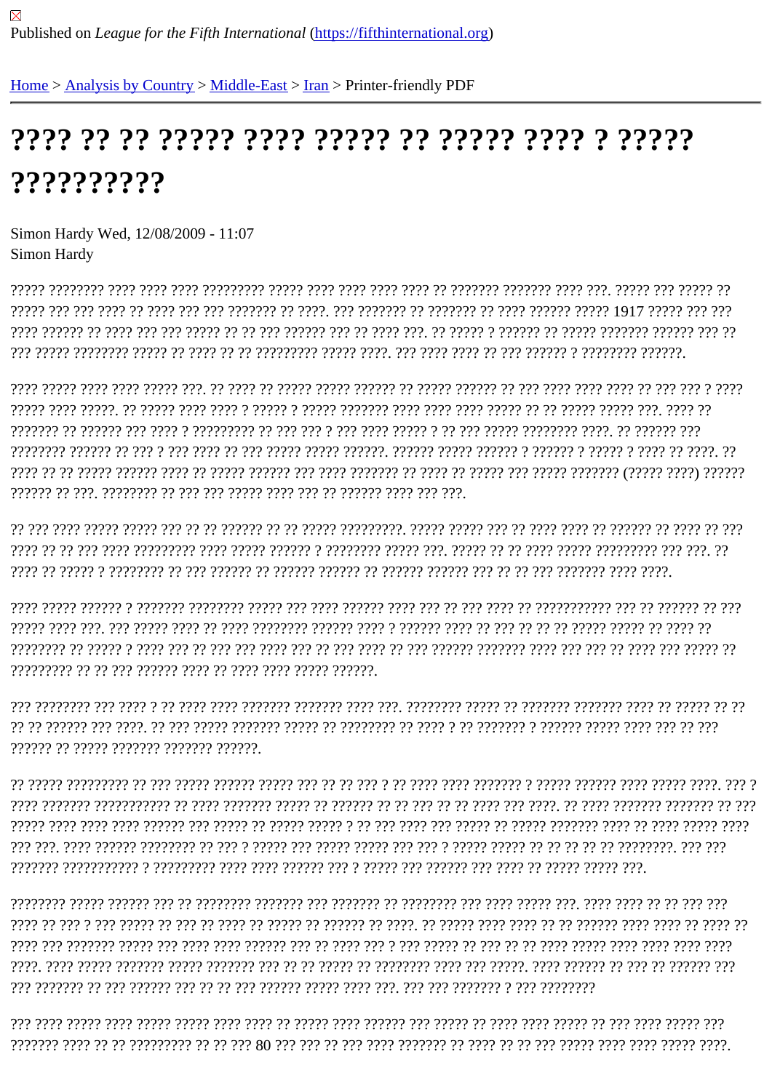## ??????????

Simon Hardy Wed, 12/08/2009 - 11:07 Simon Hardy

<u>ן ידר דרכבר ברבר בר בר ברב ברב בר בר ברב ברבר ברבבר ברב ברב ברבב ברבר ברבבר ברבבר ב ברבבר בברבר ברבב ברבב ב</u> 

?????? ?? ????? ??????? ??????? ??????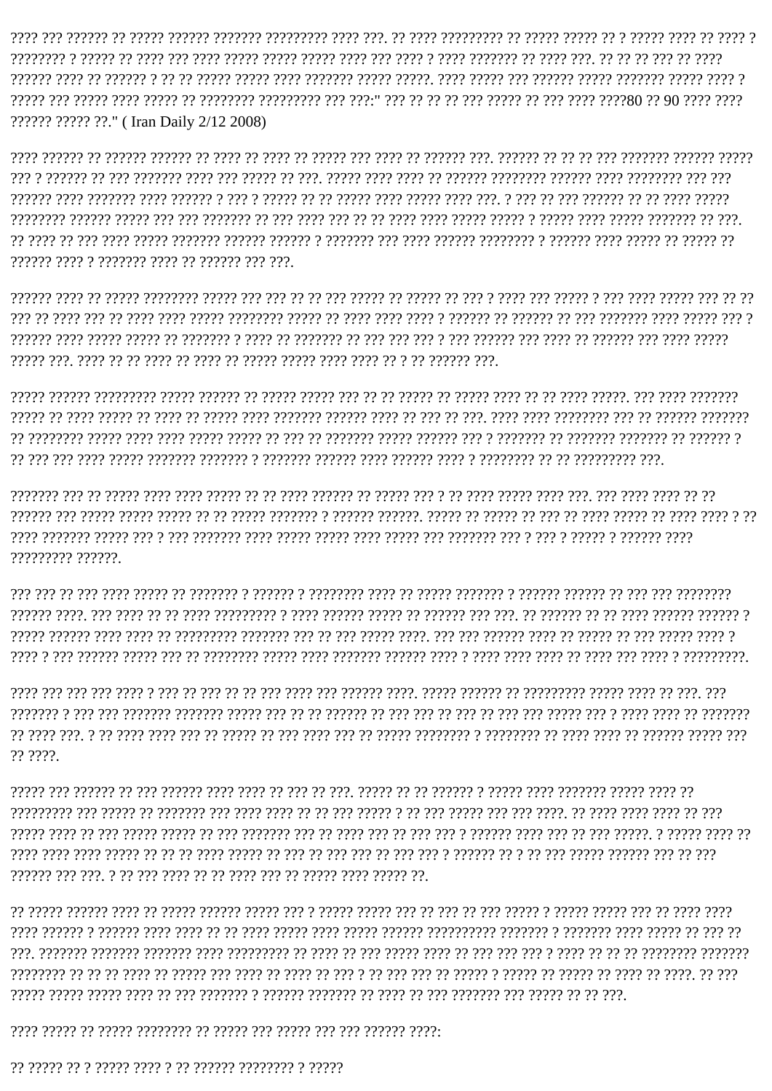ו ויריך רך ריכון ריכון ריכון דיך היריכון ריך היריכון ליכון ריך בין ביריך בריכון היריכון ביריכון ביריכון ריך ביר ?????? ????? ??." (Iran Daily 2/12 2008)

ריר ברכביר כך בכבריך בכבר בכברכב ב בכברכברכב בכברכב בכבר בכבר בכברכבר ב בכברכב בכברכבי בכברה בכבר בכבר בכ בכבר בכ 222222 2222 2 2222222 2222 22 22222 222

ורוף ברכבריך בך בי בירוך ברכב ברכב ברכבי בירוך בך ברכב בך ברכב בך ברכב ברכב ברכבי

רורורור ביני בירי הקבור בירים וביר היית היוון בין היוון בין היו היוון היוון היוון בירורי היוון היוון היוון היוון היוון וריך בברכברכבים בך בך הברכברים ב בכבר ברכבי בכבר בכברים ברכברים ב ברכברים ברכברים בכברי ברכב בכך בכך בר

רי ו ביבי בכבי ביר במביר בבכב בך בכך בך בבכבר בך בבכבר. בכבכבר בבכבכת ב בבכבכבר בכבכך בכ כך בכבכה בכבכך בכך בבכבר ויויו ויויויוי ו ויויוי ו ויוי ו ויוי ויויויויו ויוי ויויוי ויויוי ויויוי ויוי ויויויוי ויוי ו יוי ויויוי ויויויוי ויויו ????????? ??????

היריריריר ריר ריך ריך ריך ריכוליך ריריכולי ריכוליליך ריכולי ריך היריכולי ריכולילי ריכולילי רי היריר ריכול ריך ריך ריך ריך ריך 

רירי. רבר בר ברביר ברברך ברברברברבר בר ברברכה ברברב. ברבר ברברבר ברב ברב ברב בר בר בר בר ברב בברב ברב ברב ברב ברב ?? ????.

רר ררכב בכברה ברכברכך בכבר בכבר ב בכברכב בי בר כך בכברכב. בכך כך בכך בך בכבר בכבר בכברכב בכך בך בכברכב בכך בכרב רירי רי ריר ריריריר רורור רור ריך רי ריכון רוריכון ר' ריך ריך ריך ריך ריך ריך ריך ריכון רורך רי ריך ריכון רורך רורך רורך ה 

ויר ויך די הירויך ביריך היריכויו ב הירוכויר היריכויונירי ביריכו ביריר היריך היריך ריכי הירי ביריך הירוכו ב הירוכו ביריך ררך רך ברכב רך ברכב בך הברכב בך ברכבי ב ברכבי בך ברך ברך בך ב ברך כך ברכב בך ברכב ברך ברך כך ברכב בך בר ברכבברב